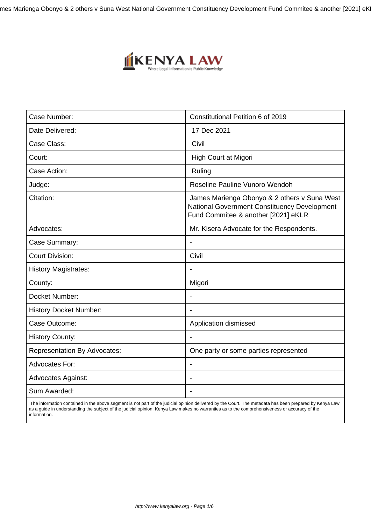mes Marienga Obonyo & 2 others v Suna West National Government Constituency Development Fund Commitee & another [2021] eK



| Case Number:                        | Constitutional Petition 6 of 2019                                                                                                   |
|-------------------------------------|-------------------------------------------------------------------------------------------------------------------------------------|
| Date Delivered:                     | 17 Dec 2021                                                                                                                         |
| Case Class:                         | Civil                                                                                                                               |
| Court:                              | High Court at Migori                                                                                                                |
| Case Action:                        | Ruling                                                                                                                              |
| Judge:                              | Roseline Pauline Vunoro Wendoh                                                                                                      |
| Citation:                           | James Marienga Obonyo & 2 others v Suna West<br>National Government Constituency Development<br>Fund Commitee & another [2021] eKLR |
| Advocates:                          | Mr. Kisera Advocate for the Respondents.                                                                                            |
| Case Summary:                       | $\blacksquare$                                                                                                                      |
| <b>Court Division:</b>              | Civil                                                                                                                               |
| <b>History Magistrates:</b>         |                                                                                                                                     |
| County:                             | Migori                                                                                                                              |
| Docket Number:                      | $\overline{\phantom{a}}$                                                                                                            |
| <b>History Docket Number:</b>       |                                                                                                                                     |
| Case Outcome:                       | Application dismissed                                                                                                               |
| <b>History County:</b>              |                                                                                                                                     |
| <b>Representation By Advocates:</b> | One party or some parties represented                                                                                               |
| <b>Advocates For:</b>               |                                                                                                                                     |
| <b>Advocates Against:</b>           |                                                                                                                                     |
| Sum Awarded:                        |                                                                                                                                     |
|                                     |                                                                                                                                     |

 The information contained in the above segment is not part of the judicial opinion delivered by the Court. The metadata has been prepared by Kenya Law as a guide in understanding the subject of the judicial opinion. Kenya Law makes no warranties as to the comprehensiveness or accuracy of the information.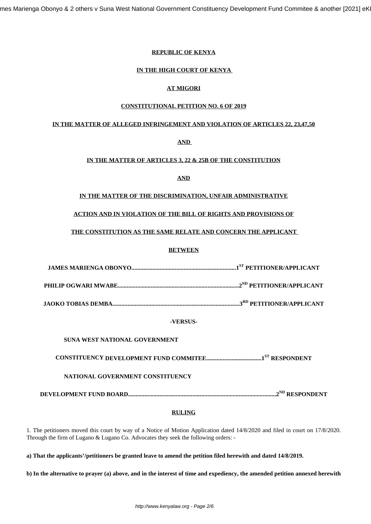mes Marienga Obonyo & 2 others v Suna West National Government Constituency Development Fund Commitee & another [2021] eK

#### **REPUBLIC OF KENYA**

#### **IN THE HIGH COURT OF KENYA**

## **AT MIGORI**

#### **CONSTITUTIONAL PETITION NO. 6 OF 2019**

#### **IN THE MATTER OF ALLEGED INFRINGEMENT AND VIOLATION OF ARTICLES 22, 23,47,50**

# **AND**

## **IN THE MATTER OF ARTICLES 3, 22 & 25B OF THE CONSTITUTION**

## **AND**

# **IN THE MATTER OF THE DISCRIMINATION, UNFAIR ADMINISTRATIVE**

## **ACTION AND IN VIOLATION OF THE BILL OF RIGHTS AND PROVISIONS OF**

## **THE CONSTITUTION AS THE SAME RELATE AND CONCERN THE APPLICANT**

#### **BETWEEN**

#### **-VERSUS-**

#### **SUNA WEST NATIONAL GOVERNMENT**

**CONSTITUENCY DEVELOPMENT FUND COMMITEE.....................................1ST RESPONDENT**

## **NATIONAL GOVERNMENT CONSTITUENCY**

**DEVELOPMENT FUND BOARD...................................................................................................2ND RESPONDENT**

#### **RULING**

1. The petitioners moved this court by way of a Notice of Motion Application dated 14/8/2020 and filed in court on 17/8/2020. Through the firm of Lugano & Lugano Co. Advocates they seek the following orders: -

**a) That the applicants'/petitioners be granted leave to amend the petition filed herewith and dated 14/8/2019.** 

**b) In the alternative to prayer (a) above, and in the interest of time and expediency, the amended petition annexed herewith**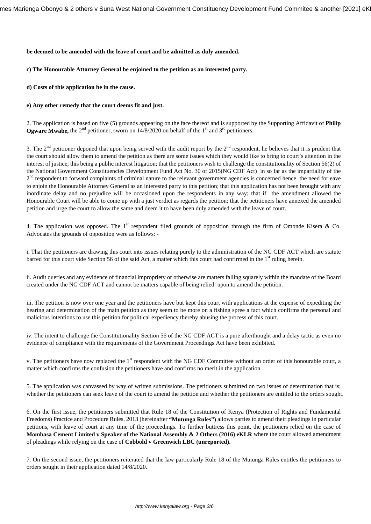#### **be deemed to be amended with the leave of court and be admitted as duly amended.**

# **c) The Honourable Attorney General be enjoined to the petition as an interested party.**

**d) Costs of this application be in the cause.** 

# **e) Any other remedy that the court deems fit and just.**

2. The application is based on five (5) grounds appearing on the face thereof and is supported by the Supporting Affidavit of **Philip Ogware Mwabe,** the  $2<sup>nd</sup>$  petitioner, sworn on 14/8/2020 on behalf of the 1<sup>st</sup> and  $3<sup>rd</sup>$  petitioners.

3. The  $2<sup>nd</sup>$  petitioner deponed that upon being served with the audit report by the  $2<sup>nd</sup>$  respondent, he believes that it is prudent that the court should allow them to amend the petition as there are some issues which they would like to bring to court's attention in the interest of justice, this being a public interest litigation; that the petitioners wish to challenge the constitutionality of Section 56(2) of the National Government Constituencies Development Fund Act No. 30 of 2015(NG CDF Act) in so far as the impartiality of the  $2<sup>nd</sup>$  respondent to forward complaints of criminal nature to the relevant government agencies is concerned hence the need for eave to enjoin the Honourable Attorney General as an interested party to this petition; that this application has not been brought with any inordinate delay and no prejudice will be occasioned upon the respondents in any way; that if the amendment allowed the Honourable Court will be able to come up with a just verdict as regards the petition; that the petitioners have annexed the amended petition and urge the court to allow the same and deem it to have been duly amended with the leave of court.

4. The application was opposed. The 1<sup>st</sup> respondent filed grounds of opposition through the firm of Omonde Kisera & Co. Advocates the grounds of opposition were as follows: -

i. That the petitioners are drawing this court into issues relating purely to the administration of the NG CDF ACT which are statute barred for this court vide Section 56 of the said Act, a matter which this court had confirmed in the 1<sup>st</sup> ruling herein.

ii. Audit queries and any evidence of financial impropriety or otherwise are matters falling squarely within the mandate of the Board created under the NG CDF ACT and cannot be matters capable of being relied upon to amend the petition.

iii. The petition is now over one year and the petitioners have but kept this court with applications at the expense of expediting the hearing and determination of the main petition as they seem to be more on a fishing spree a fact which confirms the personal and malicious intentions to use this petition for political expediency thereby abusing the process of this court.

iv. The intent to challenge the Constitutionality Section 56 of the NG CDF ACT is a pure afterthought and a delay tactic as even no evidence of compliance with the requirements of the Government Proceedings Act have been exhibited.

v. The petitioners have now replaced the 1<sup>st</sup> respondent with the NG CDF Committee without an order of this honourable court, a matter which confirms the confusion the petitioners have and confirms no merit in the application.

5. The application was canvassed by way of written submissions. The petitioners submitted on two issues of determination that is; whether the petitioners can seek leave of the court to amend the petition and whether the petitioners are entitled to the orders sought.

6. On the first issue, the petitioners submitted that Rule 18 of the Constitution of Kenya (Protection of Rights and Fundamental Freedoms) Practice and Procedure Rules, 2013 (hereinafter **"Mutunga Rules")** allows parties to amend their pleadings in particular petitions, with leave of court at any time of the proceedings. To further buttress this point, the petitioners relied on the case of **Mombasa Cement Limited v Speaker of the National Assembly & 2 Others (2016) eKLR** where the court allowed amendment of pleadings while relying on the case of **Cobbold v Greenwich LBC (unreported).**

7. On the second issue, the petitioners reiterated that the law particularly Rule 18 of the Mutunga Rules entitles the petitioners to orders sought in their application dated 14/8/2020.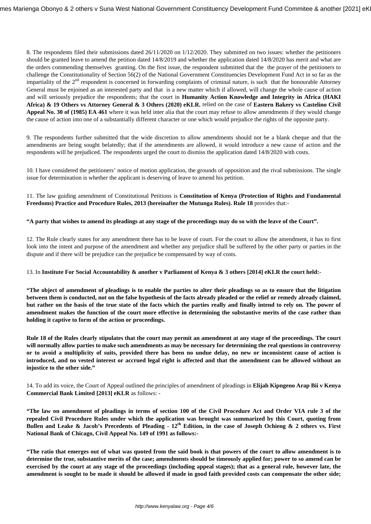8. The respondents filed their submissions dated 26/11/2020 on 1/12/2020. They submitted on two issues: whether the petitioners should be granted leave to amend the petition dated 14/8/2019 and whether the application dated 14/8/2020 has merit and what are the orders commending themselves granting. On the first issue, the respondent submitted that the the prayer of the petitioners to challenge the Constitutionality of Section 56(2) of the National Government Constituencies Development Fund Act in so far as the impartiality of the  $2<sup>nd</sup>$  respondent is concerned in forwarding complaints of criminal nature, is such that the honourable Attorney General must be enjoined as an interested party and that is a new matter which if allowed, will change the whole cause of action and will seriously prejudice the respondents; that the court in **Humanity Action Knowledge and Integrity in Africa (HAKI Africa) & 19 Others vs Attorney General & 3 Others (2020) eKLR**, relied on the case of **Eastern Bakery vs Castelino Civil Appeal No. 30 of (1985) EA 461** where it was held inter alia that the court may refuse to allow amendments if they would change the cause of action into one of a substantially different character or one which would prejudice the rights of the opposite party.

9. The respondents further submitted that the wide discretion to allow amendments should not be a blank cheque and that the amendments are being sought belatedly; that if the amendments are allowed, it would introduce a new cause of action and the respondents will be prejudiced. The respondents urged the court to dismiss the application dated 14/8/2020 with costs.

10. I have considered the petitioners' notice of motion application, the grounds of opposition and the rival submissions. The single issue for determination is whether the applicant is deserving of leave to amend his petition.

11. The law guiding amendment of Constitutional Petitions is **Constitution of Kenya (Protection of Rights and Fundamental Freedoms) Practice and Procedure Rules, 2013 (hereinafter the Mutunga Rules). Rule 18** provides that:-

#### **"A party that wishes to amend its pleadings at any stage of the proceedings may do so with the leave of the Court".**

12. The Rule clearly states for any amendment there has to be leave of court. For the court to allow the amendment, it has to first look into the intent and purpose of the amendment and whether any prejudice shall be suffered by the other party or parties in the dispute and if there will be prejudice can the prejudice be compensated by way of costs.

#### 13. In **Institute For Social Accountability & another v Parliament of Kenya & 3 others [2014] eKLR the court held:-**

**"The object of amendment of pleadings is to enable the parties to alter their pleadings so as to ensure that the litigation between them is conducted, not on the false hypothesis of the facts already pleaded or the relief or remedy already claimed, but rather on the basis of the true state of the facts which the parties really and finally intend to rely on. The power of amendment makes the function of the court more effective in determining the substantive merits of the case rather than holding it captive to form of the action or proceedings.**

**Rule 18 of the Rules clearly stipulates that the court may permit an amendment at any stage of the proceedings. The court will normally allow parties to make such amendments as may be necessary for determining the real questions in controversy or to avoid a multiplicity of suits, provided there has been no undue delay, no new or inconsistent cause of action is introduced, and no vested interest or accrued legal right is affected and that the amendment can be allowed without an injustice to the other side."**

14. To add its voice, the Court of Appeal outlined the principles of amendment of pleadings in **Elijah Kipngeno Arap Bii v Kenya Commercial Bank Limited [2013] eKLR** as follows: -

**"The law on amendment of pleadings in terms of section 100 of the Civil Procedure Act and Order VIA rule 3 of the repealed Civil Procedure Rules under which the application was brought was summarized by this Court, quoting from Bullen and Leake & Jacob's Precedents of Pleading - 12th Edition, in the case of Joseph Ochieng & 2 others vs. First National Bank of Chicago, Civil Appeal No. 149 of 1991 as follows:-**

**"The ratio that emerges out of what was quoted from the said book is that powers of the court to allow amendment is to determine the true, substantive merits of the case; amendments should be timeously applied for; power to so amend can be exercised by the court at any stage of the proceedings (including appeal stages); that as a general rule, however late, the amendment is sought to be made it should be allowed if made in good faith provided costs can compensate the other side;**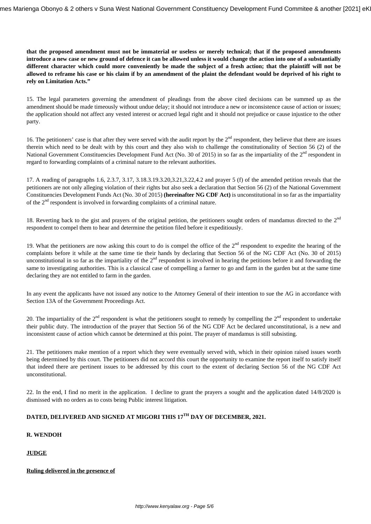**that the proposed amendment must not be immaterial or useless or merely technical; that if the proposed amendments introduce a new case or new ground of defence it can be allowed unless it would change the action into one of a substantially different character which could more conveniently be made the subject of a fresh action; that the plaintiff will not be allowed to reframe his case or his claim if by an amendment of the plaint the defendant would be deprived of his right to rely on Limitation Acts."**

15. The legal parameters governing the amendment of pleadings from the above cited decisions can be summed up as the amendment should be made timeously without undue delay; it should not introduce a new or inconsistence cause of action or issues; the application should not affect any vested interest or accrued legal right and it should not prejudice or cause injustice to the other party.

16. The petitioners' case is that after they were served with the audit report by the  $2<sup>nd</sup>$  respondent, they believe that there are issues therein which need to be dealt with by this court and they also wish to challenge the constitutionality of Section 56 (2) of the National Government Constituencies Development Fund Act (No. 30 of 2015) in so far as the impartiality of the 2<sup>nd</sup> respondent in regard to forwarding complaints of a criminal nature to the relevant authorities.

17. A reading of paragraphs 1.6, 2.3.7, 3.17, 3.18.3.19.3.20,3.21,3.22,4.2 and prayer 5 (f) of the amended petition reveals that the petitioners are not only alleging violation of their rights but also seek a declaration that Section 56 (2) of the National Government Constituencies Development Funds Act (No. 30 of 2015) **(hereinafter NG CDF Act)** is unconstitutional in so far as the impartiality of the  $2<sup>nd</sup>$  respondent is involved in forwarding complaints of a criminal nature.

18. Reverting back to the gist and prayers of the original petition, the petitioners sought orders of mandamus directed to the  $2<sup>nd</sup>$ respondent to compel them to hear and determine the petition filed before it expeditiously.

19. What the petitioners are now asking this court to do is compel the office of the  $2<sup>nd</sup>$  respondent to expedite the hearing of the complaints before it while at the same time tie their hands by declaring that Section 56 of the NG CDF Act (No. 30 of 2015) unconstitutional in so far as the impartiality of the  $2<sup>nd</sup>$  respondent is involved in hearing the petitions before it and forwarding the same to investigating authorities. This is a classical case of compelling a farmer to go and farm in the garden but at the same time declaring they are not entitled to farm in the garden.

In any event the applicants have not issued any notice to the Attorney General of their intention to sue the AG in accordance with Section 13A of the Government Proceedings Act.

20. The impartiality of the  $2<sup>nd</sup>$  respondent is what the petitioners sought to remedy by compelling the  $2<sup>nd</sup>$  respondent to undertake their public duty. The introduction of the prayer that Section 56 of the NG CDF Act be declared unconstitutional, is a new and inconsistent cause of action which cannot be determined at this point. The prayer of mandamus is still subsisting.

21. The petitioners make mention of a report which they were eventually served with, which in their opinion raised issues worth being determined by this court. The petitioners did not accord this court the opportunity to examine the report itself to satisfy itself that indeed there are pertinent issues to be addressed by this court to the extent of declaring Section 56 of the NG CDF Act unconstitutional.

22. In the end, I find no merit in the application. I decline to grant the prayers a sought and the application dated 14/8/2020 is dismissed with no orders as to costs being Public interest litigation.

# **DATED, DELIVERED AND SIGNED AT MIGORI THIS 17TH DAY OF DECEMBER, 2021.**

## **R. WENDOH**

## **JUDGE**

#### **Ruling delivered in the presence of**